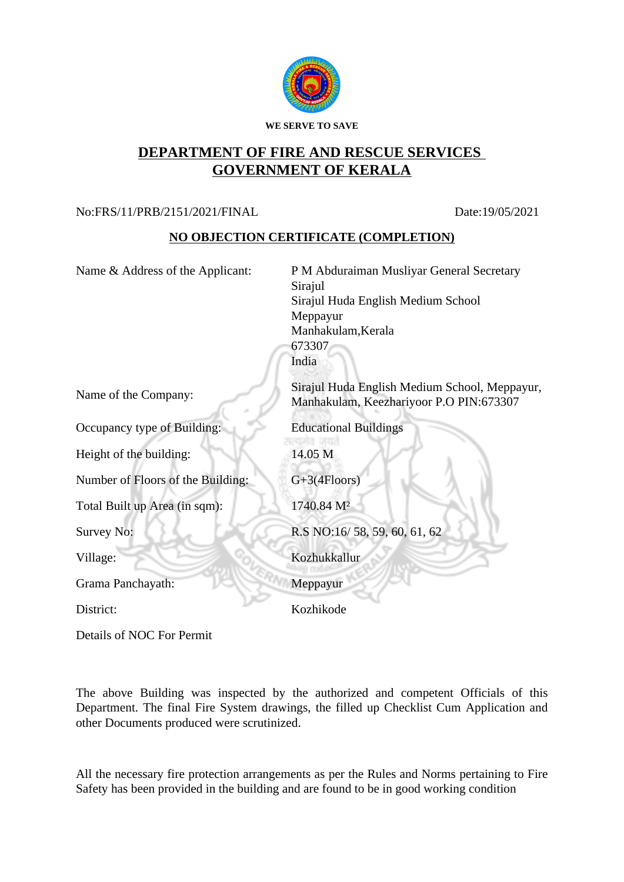

## **DEPARTMENT OF FIRE AND RESCUE SERVICES GOVERNMENT OF KERALA**

## No:FRS/11/PRB/2151/2021/FINAL Date:19/05/2021

## **NO OBJECTION CERTIFICATE (COMPLETION)**

| Name & Address of the Applicant:  | P M Abduraiman Musliyar General Secretary<br>Sirajul                                     |
|-----------------------------------|------------------------------------------------------------------------------------------|
|                                   | Sirajul Huda English Medium School                                                       |
|                                   | Meppayur                                                                                 |
|                                   | Manhakulam, Kerala                                                                       |
|                                   | 673307                                                                                   |
|                                   | India                                                                                    |
| Name of the Company:              | Sirajul Huda English Medium School, Meppayur,<br>Manhakulam, Keezhariyoor P.O PIN:673307 |
| Occupancy type of Building:       | <b>Educational Buildings</b>                                                             |
| Height of the building:           | an an<br>14.05 M                                                                         |
| Number of Floors of the Building: | $G+3(4Floors)$                                                                           |
| Total Built up Area (in sqm):     | 1740.84 M <sup>2</sup>                                                                   |
| Survey No:                        | R.S NO:16/58, 59, 60, 61, 62                                                             |
| Village:                          | Kozhukkallur                                                                             |
| Grama Panchayath:                 | Meppayur                                                                                 |
| District:                         | Kozhikode                                                                                |
| Details of NOC For Permit         |                                                                                          |

The above Building was inspected by the authorized and competent Officials of this Department. The final Fire System drawings, the filled up Checklist Cum Application and other Documents produced were scrutinized.

All the necessary fire protection arrangements as per the Rules and Norms pertaining to Fire Safety has been provided in the building and are found to be in good working condition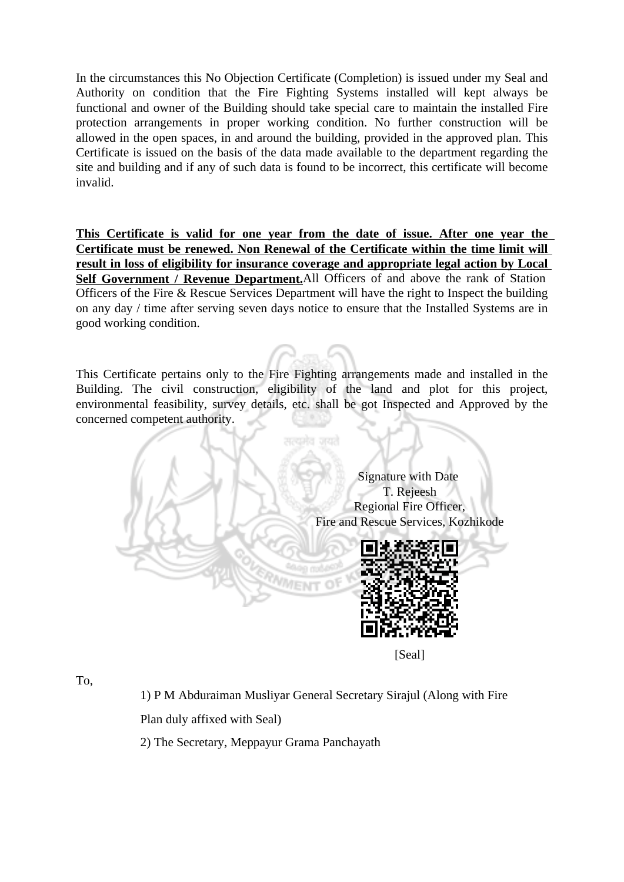In the circumstances this No Objection Certificate (Completion) is issued under my Seal and Authority on condition that the Fire Fighting Systems installed will kept always be functional and owner of the Building should take special care to maintain the installed Fire protection arrangements in proper working condition. No further construction will be allowed in the open spaces, in and around the building, provided in the approved plan. This Certificate is issued on the basis of the data made available to the department regarding the site and building and if any of such data is found to be incorrect, this certificate will become invalid.

**This Certificate is valid for one year from the date of issue. After one year the Certificate must be renewed. Non Renewal of the Certificate within the time limit will result in loss of eligibility for insurance coverage and appropriate legal action by Local Self Government / Revenue Department.**All Officers of and above the rank of Station Officers of the Fire & Rescue Services Department will have the right to Inspect the building on any day / time after serving seven days notice to ensure that the Installed Systems are in good working condition.

This Certificate pertains only to the Fire Fighting arrangements made and installed in the Building. The civil construction, eligibility of the land and plot for this project, environmental feasibility, survey details, etc. shall be got Inspected and Approved by the concerned competent authority.



[Seal]

To,

1) P M Abduraiman Musliyar General Secretary Sirajul (Along with Fire Plan duly affixed with Seal)

2) The Secretary, Meppayur Grama Panchayath